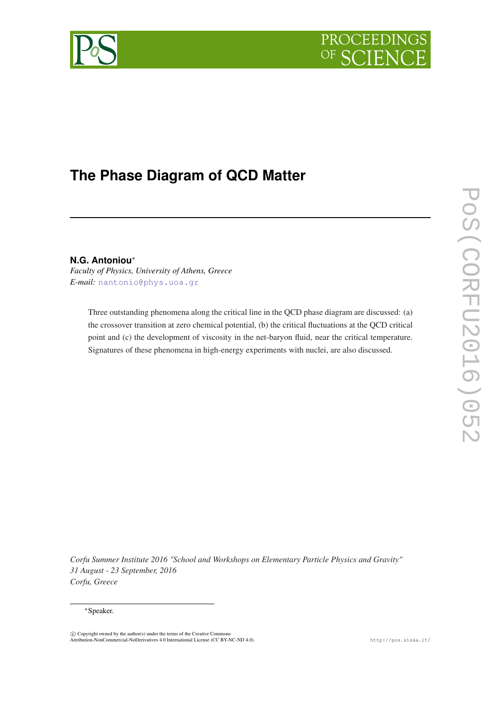



# **The Phase Diagram of QCD Matter**

## **N.G. Antoniou**<sup>∗</sup>

*Faculty of Physics, University of Athens, Greece E-mail:* [nantonio@phys.uoa.gr](mailto:nantonio@phys.uoa.gr)

> Three outstanding phenomena along the critical line in the QCD phase diagram are discussed: (a) the crossover transition at zero chemical potential, (b) the critical fluctuations at the QCD critical point and (c) the development of viscosity in the net-baryon fluid, near the critical temperature. Signatures of these phenomena in high-energy experiments with nuclei, are also discussed.

*Corfu Summer Institute 2016 "School and Workshops on Elementary Particle Physics and Gravity" 31 August - 23 September, 2016 Corfu, Greece*

#### <sup>∗</sup>Speaker.

c Copyright owned by the author(s) under the terms of the Creative Commons Attribution-NonCommercial-NoDerivatives 4.0 International License (CC BY-NC-ND 4.0). http://pos.sissa.it/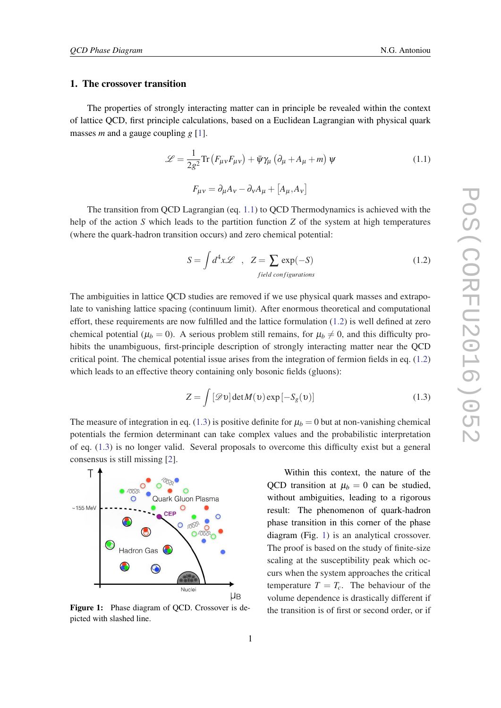#### <span id="page-1-0"></span>1. The crossover transition

The properties of strongly interacting matter can in principle be revealed within the context of lattice QCD, first principle calculations, based on a Euclidean Lagrangian with physical quark masses *m* and a gauge coupling *g* [\[1\]](#page-9-0).

$$
\mathcal{L} = \frac{1}{2g^2} \text{Tr} \left( F_{\mu\nu} F_{\mu\nu} \right) + \bar{\psi} \gamma_{\mu} \left( \partial_{\mu} + A_{\mu} + m \right) \psi \tag{1.1}
$$

 $F_{\mu\nu} = \partial_{\mu}A_{\nu} - \partial_{\nu}A_{\mu} + [A_{\mu}, A_{\nu}]$ 

The transition from QCD Lagrangian (eq. 1.1) to QCD Thermodynamics is achieved with the help of the action *S* which leads to the partition function *Z* of the system at high temperatures (where the quark-hadron transition occurs) and zero chemical potential:

$$
S = \int d^4x \mathcal{L} , \quad Z = \sum \exp(-S) \tag{1.2}
$$
  
*field configurations*

The ambiguities in lattice QCD studies are removed if we use physical quark masses and extrapolate to vanishing lattice spacing (continuum limit). After enormous theoretical and computational effort, these requirements are now fulfilled and the lattice formulation (1.2) is well defined at zero chemical potential ( $\mu_b = 0$ ). A serious problem still remains, for  $\mu_b \neq 0$ , and this difficulty prohibits the unambiguous, first-principle description of strongly interacting matter near the QCD critical point. The chemical potential issue arises from the integration of fermion fields in eq. (1.2) which leads to an effective theory containing only bosonic fields (gluons):

$$
Z = \int [\mathcal{D}v] \det M(v) \exp[-S_g(v)] \qquad (1.3)
$$

The measure of integration in eq. (1.3) is positive definite for  $\mu_b = 0$  but at non-vanishing chemical potentials the fermion determinant can take complex values and the probabilistic interpretation of eq. (1.3) is no longer valid. Several proposals to overcome this difficulty exist but a general consensus is still missing [[2](#page-9-0)].



Figure 1: Phase diagram of QCD. Crossover is depicted with slashed line.

Within this context, the nature of the QCD transition at  $\mu_b = 0$  can be studied, without ambiguities, leading to a rigorous result: The phenomenon of quark-hadron phase transition in this corner of the phase diagram (Fig. 1) is an analytical crossover. The proof is based on the study of finite-size scaling at the susceptibility peak which occurs when the system approaches the critical temperature  $T = T_c$ . The behaviour of the volume dependence is drastically different if the transition is of first or second order, or if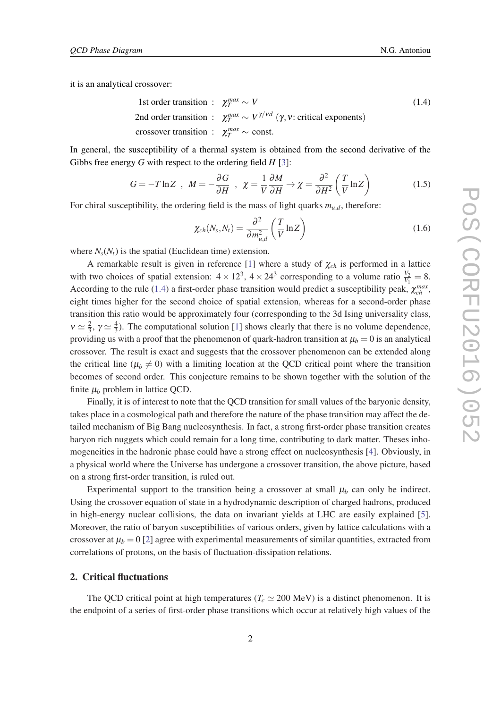<span id="page-2-0"></span>it is an analytical crossover:

1st order transition : 
$$
\chi_T^{max} \sim V
$$
 (1.4)  
2nd order transition :  $\chi_T^{max} \sim V^{\gamma/\nu d}$  ( $\gamma$ ,  $\nu$ : critical exponents)  
crossover transition :  $\chi_T^{max} \sim \text{const.}$ 

In general, the susceptibility of a thermal system is obtained from the second derivative of the Gibbs free energy *G* with respect to the ordering field *H* [\[3\]](#page-9-0):

$$
G = -T \ln Z \, , \, M = -\frac{\partial G}{\partial H} \, , \, \chi = \frac{1}{V} \frac{\partial M}{\partial H} \to \chi = \frac{\partial^2}{\partial H^2} \left( \frac{T}{V} \ln Z \right) \tag{1.5}
$$

For chiral susceptibility, the ordering field is the mass of light quarks  $m_{u,d}$ , therefore:

$$
\chi_{ch}(N_s, N_t) = \frac{\partial^2}{\partial m_{u,d}^2} \left(\frac{T}{V} \ln Z\right)
$$
\n(1.6)

where  $N_s(N_t)$  is the spatial (Euclidean time) extension.

A remarkable result is given in reference [[1](#page-9-0)] where a study of χ*ch* is performed in a lattice with two choices of spatial extension:  $4 \times 12^3$ ,  $4 \times 24^3$  corresponding to a volume ratio  $\frac{V_2}{V_1} = 8$ . According to the rule (1.4) a first-order phase transition would predict a susceptibility peak,  $\chi_{ch}^{max}$ , eight times higher for the second choice of spatial extension, whereas for a second-order phase transition this ratio would be approximately four (corresponding to the 3d Ising universality class,  $v \simeq \frac{2}{3}$  $\frac{2}{3}$ ,  $\gamma \simeq \frac{4}{3}$  $\frac{4}{3}$ ). The computational solution [[1](#page-9-0)] shows clearly that there is no volume dependence, providing us with a proof that the phenomenon of quark-hadron transition at  $\mu_b = 0$  is an analytical crossover. The result is exact and suggests that the crossover phenomenon can be extended along the critical line ( $\mu_b \neq 0$ ) with a limiting location at the QCD critical point where the transition becomes of second order. This conjecture remains to be shown together with the solution of the finite  $\mu_b$  problem in lattice QCD.

Finally, it is of interest to note that the QCD transition for small values of the baryonic density, takes place in a cosmological path and therefore the nature of the phase transition may affect the detailed mechanism of Big Bang nucleosynthesis. In fact, a strong first-order phase transition creates baryon rich nuggets which could remain for a long time, contributing to dark matter. Theses inhomogeneities in the hadronic phase could have a strong effect on nucleosynthesis [\[4\]](#page-9-0). Obviously, in a physical world where the Universe has undergone a crossover transition, the above picture, based on a strong first-order transition, is ruled out.

Experimental support to the transition being a crossover at small  $\mu_b$  can only be indirect. Using the crossover equation of state in a hydrodynamic description of charged hadrons, produced in high-energy nuclear collisions, the data on invariant yields at LHC are easily explained [\[5\]](#page-9-0). Moreover, the ratio of baryon susceptibilities of various orders, given by lattice calculations with a crossover at  $\mu_b = 0$  [[2](#page-9-0)] agree with experimental measurements of similar quantities, extracted from correlations of protons, on the basis of fluctuation-dissipation relations.

#### 2. Critical fluctuations

The QCD critical point at high temperatures ( $T_c \approx 200$  MeV) is a distinct phenomenon. It is the endpoint of a series of first-order phase transitions which occur at relatively high values of the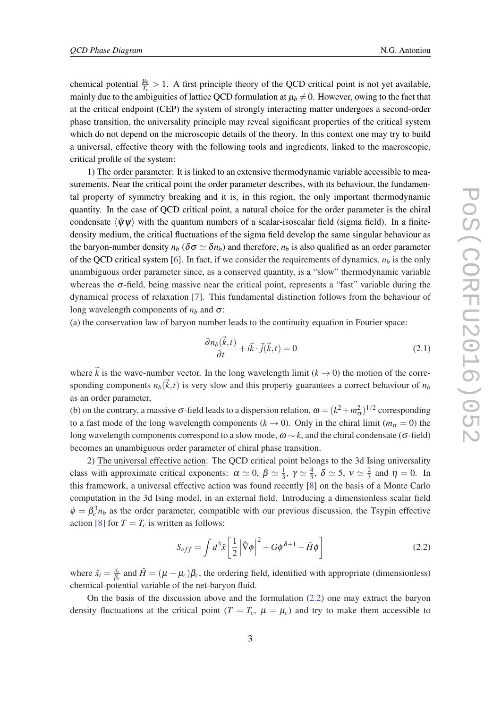chemical potential  $\frac{\mu_b}{T_c} > 1$ . A first principle theory of the QCD critical point is not yet available, mainly due to the ambiguities of lattice QCD formulation at  $\mu_b \neq 0$ . However, owing to the fact that at the critical endpoint (CEP) the system of strongly interacting matter undergoes a second-order phase transition, the universality principle may reveal significant properties of the critical system which do not depend on the microscopic details of the theory. In this context one may try to build a universal, effective theory with the following tools and ingredients, linked to the macroscopic, critical profile of the system:

1) The order parameter: It is linked to an extensive thermodynamic variable accessible to measurements. Near the critical point the order parameter describes, with its behaviour, the fundamental property of symmetry breaking and it is, in this region, the only important thermodynamic quantity. In the case of QCD critical point, a natural choice for the order parameter is the chiral condensate  $\langle \bar{\Psi} \Psi \rangle$  with the quantum numbers of a scalar-isoscalar field (sigma field). In a finitedensity medium, the critical fluctuations of the sigma field develop the same singular behaviour as the baryon-number density  $n_b$  ( $\delta \sigma \simeq \delta n_b$ ) and therefore,  $n_b$  is also qualified as an order parameter of the QCD critical system [\[6\]](#page-9-0). In fact, if we consider the requirements of dynamics,  $n_b$  is the only unambiguous order parameter since, as a conserved quantity, is a "slow" thermodynamic variable whereas the  $\sigma$ -field, being massive near the critical point, represents a "fast" variable during the dynamical process of relaxation [\[7\]](#page-9-0). This fundamental distinction follows from the behaviour of long wavelength components of  $n_b$  and  $\sigma$ :

(a) the conservation law of baryon number leads to the continuity equation in Fourier space:

$$
\frac{\partial n_b(\vec{k},t)}{\partial t} + i\vec{k} \cdot \vec{j}(\vec{k},t) = 0
$$
\n(2.1)

where  $\vec{k}$  is the wave-number vector. In the long wavelength limit ( $k \to 0$ ) the motion of the corresponding components  $n_b(\vec{k},t)$  is very slow and this property guarantees a correct behaviour of  $n_b$ as an order parameter,

(b) on the contrary, a massive  $\sigma$ -field leads to a dispersion relation,  $\omega = (k^2 + m_\sigma^2)^{1/2}$  corresponding to a fast mode of the long wavelength components ( $k \to 0$ ). Only in the chiral limit ( $m_{\sigma} = 0$ ) the long wavelength components correspond to a slow mode,  $\omega \sim k$ , and the chiral condensate ( $\sigma$ -field) becomes an unambiguous order parameter of chiral phase transition.

2) The universal effective action: The QCD critical point belongs to the 3d Ising universality class with approximate critical exponents:  $\alpha \simeq 0, \beta \simeq \frac{1}{3}$  $\frac{1}{3}$ , γ  $\simeq \frac{4}{3}$  $\frac{4}{3}$ ,  $\delta \simeq 5$ ,  $v \simeq \frac{2}{3}$  $rac{2}{3}$  and  $\eta = 0$ . In this framework, a universal effective action was found recently [[8](#page-9-0)] on the basis of a Monte Carlo computation in the 3d Ising model, in an external field. Introducing a dimensionless scalar field  $\phi = \beta_c^3 n_b$  as the order parameter, compatible with our previous discussion, the Tsypin effective action [\[8\]](#page-9-0) for  $T = T_c$  is written as follows:

$$
S_{eff} = \int d^3x \left[ \frac{1}{2} \left| \hat{\nabla} \phi \right|^2 + G \phi^{\delta+1} - \hat{H} \phi \right]
$$
 (2.2)

where  $\hat{x_i} = \frac{x_i}{B_i}$  $\frac{x_i}{\beta_c}$  and  $\hat{H} = (\mu - \mu_c)\beta_c$ , the ordering field, identified with appropriate (dimensionless) chemical-potential variable of the net-baryon fluid.

On the basis of the discussion above and the formulation (2.2) one may extract the baryon density fluctuations at the critical point  $(T = T_c, \mu = \mu_c)$  and try to make them accessible to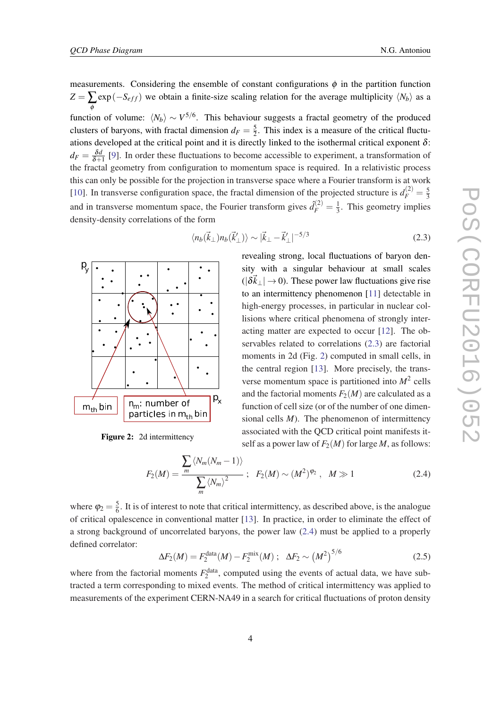measurements. Considering the ensemble of constant configurations  $\phi$  in the partition function  $Z = \sum_{i} exp(-S_{eff})$  we obtain a finite-size scaling relation for the average multiplicity  $\langle N_b \rangle$  as a φ function of volume:  $\langle N_b \rangle \sim V^{5/6}$ . This behaviour suggests a fractal geometry of the produced clusters of baryons, with fractal dimension  $d_F = \frac{5}{2}$  $\frac{5}{2}$ . This index is a measure of the critical fluctuations developed at the critical point and it is directly linked to the isothermal critical exponent  $\delta$ :  $d_F = \frac{\delta d}{\delta + 1}$  $\frac{\partial d}{\partial +1}$  [[9](#page-10-0)]. In order these fluctuations to become accessible to experiment, a transformation of the fractal geometry from configuration to momentum space is required. In a relativistic process this can only be possible for the projection in transverse space where a Fourier transform is at work [[10\]](#page-10-0). In transverse configuration space, the fractal dimension of the projected structure is  $d_F^{(2)} = \frac{5}{3}$ 3 and in transverse momentum space, the Fourier transform gives  $\hat{d}_F^{(2)} = \frac{1}{3}$  $\frac{1}{3}$ . This geometry implies density-density correlations of the form

$$
\langle n_b(\vec{k}_{\perp})n_b(\vec{k}'_{\perp})\rangle \sim |\vec{k}_{\perp} - \vec{k}'_{\perp}|^{-5/3}
$$
\n(2.3)



Figure 2: 2d intermittency

revealing strong, local fluctuations of baryon density with a singular behaviour at small scales  $(|\delta \vec{k}_\perp| \rightarrow 0)$ . These power law fluctuations give rise to an intermittency phenomenon [[11\]](#page-10-0) detectable in high-energy processes, in particular in nuclear collisions where critical phenomena of strongly interacting matter are expected to occur [[12\]](#page-10-0). The observables related to correlations (2.3) are factorial moments in 2d (Fig. 2) computed in small cells, in the central region [\[13](#page-10-0)]. More precisely, the transverse momentum space is partitioned into  $M^2$  cells and the factorial moments  $F_2(M)$  are calculated as a function of cell size (or of the number of one dimensional cells *M*). The phenomenon of intermittency associated with the QCD critical point manifests itself as a power law of  $F_2(M)$  for large M, as follows:

$$
F_2(M) = \frac{\sum_{m} \langle N_m(N_m - 1) \rangle}{\sum_{m} \langle N_m \rangle^2}; \quad F_2(M) \sim (M^2)^{\varphi_2}, \quad M \gg 1 \tag{2.4}
$$

where  $\varphi_2 = \frac{5}{6}$  $\frac{5}{6}$ . It is of interest to note that critical intermittency, as described above, is the analogue of critical opalescence in conventional matter [\[13](#page-10-0)]. In practice, in order to eliminate the effect of a strong background of uncorrelated baryons, the power law (2.4) must be applied to a properly defined correlator:

$$
\Delta F_2(M) = F_2^{\text{data}}(M) - F_2^{\text{mix}}(M) \; ; \; \; \Delta F_2 \sim (M^2)^{5/6} \tag{2.5}
$$

where from the factorial moments  $F_2^{\text{data}}$ , computed using the events of actual data, we have subtracted a term corresponding to mixed events. The method of critical intermittency was applied to measurements of the experiment CERN-NA49 in a search for critical fluctuations of proton density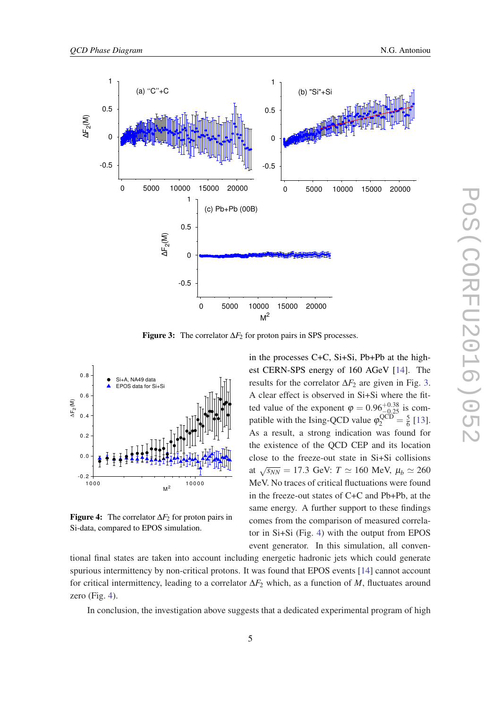

Figure 3: The correlator ∆*F*<sup>2</sup> for proton pairs in SPS processes.



Figure 4: The correlator ∆*F*<sup>2</sup> for proton pairs in Si-data, compared to EPOS simulation.

in the processes C+C, Si+Si, Pb+Pb at the highest CERN-SPS energy of 160 AGeV [\[14](#page-10-0)]. The results for the correlator  $\Delta F_2$  are given in Fig. 3. A clear effect is observed in Si+Si where the fitted value of the exponent  $\varphi = 0.96^{+0.38}_{-0.25}$  is compatible with the Ising-QCD value  $\varphi_2^{\text{QCD}} = \frac{5}{6}$  $\frac{5}{6}$  [[13\]](#page-10-0). As a result, a strong indication was found for the existence of the QCD CEP and its location close to the freeze-out state in Si+Si collisions at  $\sqrt{s_{NN}} = 17.3 \text{ GeV}$ :  $T \approx 160 \text{ MeV}$ ,  $\mu_b \approx 260$ MeV. No traces of critical fluctuations were found in the freeze-out states of C+C and Pb+Pb, at the same energy. A further support to these findings comes from the comparison of measured correlator in Si+Si (Fig. 4) with the output from EPOS event generator. In this simulation, all conven-

tional final states are taken into account including energetic hadronic jets which could generate spurious intermittency by non-critical protons. It was found that EPOS events [[14\]](#page-10-0) cannot account for critical intermittency, leading to a correlator ∆*F*<sup>2</sup> which, as a function of *M*, fluctuates around zero (Fig. 4).

In conclusion, the investigation above suggests that a dedicated experimental program of high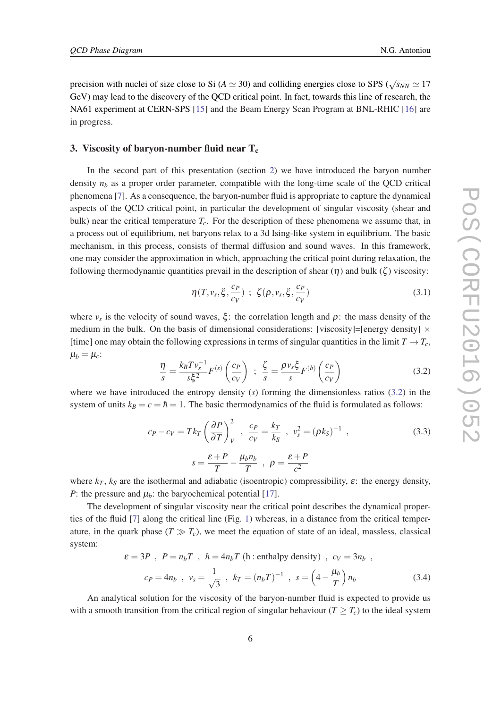<span id="page-6-0"></span>precision with nuclei of size close to Si ( $A \simeq 30$ ) and colliding energies close to SPS ( $\sqrt{s_{NN}} \simeq 17$ GeV) may lead to the discovery of the QCD critical point. In fact, towards this line of research, the NA61 experiment at CERN-SPS [[15\]](#page-10-0) and the Beam Energy Scan Program at BNL-RHIC [\[16](#page-10-0)] are in progress.

#### 3. Viscosity of baryon-number fluid near  $T_c$

In the second part of this presentation (section [2\)](#page-2-0) we have introduced the baryon number density  $n<sub>b</sub>$  as a proper order parameter, compatible with the long-time scale of the QCD critical phenomena [[7\]](#page-9-0). As a consequence, the baryon-number fluid is appropriate to capture the dynamical aspects of the QCD critical point, in particular the development of singular viscosity (shear and bulk) near the critical temperature *Tc*. For the description of these phenomena we assume that, in a process out of equilibrium, net baryons relax to a 3d Ising-like system in equilibrium. The basic mechanism, in this process, consists of thermal diffusion and sound waves. In this framework, one may consider the approximation in which, approaching the critical point during relaxation, the following thermodynamic quantities prevail in the description of shear  $(\eta)$  and bulk  $(\zeta)$  viscosity:

$$
\eta(T, v_s, \xi, \frac{c_P}{c_V}) \, ; \, \zeta(\rho, v_s, \xi, \frac{c_P}{c_V}) \tag{3.1}
$$

where  $v_s$  is the velocity of sound waves,  $\xi$ : the correlation length and  $\rho$ : the mass density of the medium in the bulk. On the basis of dimensional considerations: [viscosity]=[energy density]  $\times$ [time] one may obtain the following expressions in terms of singular quantities in the limit  $T \to T_c$ ,  $\mu_b = \mu_c$ :

$$
\frac{\eta}{s} = \frac{k_B T v_s^{-1}}{s \xi^2} F^{(s)} \left( \frac{c_P}{c_V} \right) \; ; \; \frac{\zeta}{s} = \frac{\rho v_s \xi}{s} F^{(b)} \left( \frac{c_P}{c_V} \right) \tag{3.2}
$$

where we have introduced the entropy density (*s*) forming the dimensionless ratios (3.2) in the system of units  $k_B = c = \hbar = 1$ . The basic thermodynamics of the fluid is formulated as follows:

$$
c_P - c_V = Tk_T \left(\frac{\partial P}{\partial T}\right)_V^2, \quad \frac{c_P}{c_V} = \frac{k_T}{k_S}, \quad v_s^2 = (\rho k_S)^{-1},
$$
  

$$
s = \frac{\varepsilon + P}{T} - \frac{\mu_b n_b}{T}, \quad \rho = \frac{\varepsilon + P}{c^2}
$$
 (3.3)

where  $k_T$ ,  $k_S$  are the isothermal and adiabatic (isoentropic) compressibility,  $\varepsilon$ : the energy density, *P*: the pressure and  $\mu_b$ : the baryochemical potential [\[17\]](#page-10-0).

The development of singular viscosity near the critical point describes the dynamical properties of the fluid [\[7\]](#page-9-0) along the critical line (Fig. [1](#page-1-0)) whereas, in a distance from the critical temperature, in the quark phase  $(T \gg T_c)$ , we meet the equation of state of an ideal, massless, classical system:

$$
\varepsilon = 3P, \quad P = n_b T, \quad h = 4n_b T \text{ (h: enthalpy density) }, \quad c_V = 3n_b,
$$
\n
$$
c_P = 4n_b, \quad v_s = \frac{1}{\sqrt{3}}, \quad k_T = (n_b T)^{-1}, \quad s = \left(4 - \frac{\mu_b}{T}\right)n_b
$$
\n(3.4)

An analytical solution for the viscosity of the baryon-number fluid is expected to provide us with a smooth transition from the critical region of singular behaviour ( $T \geq T_c$ ) to the ideal system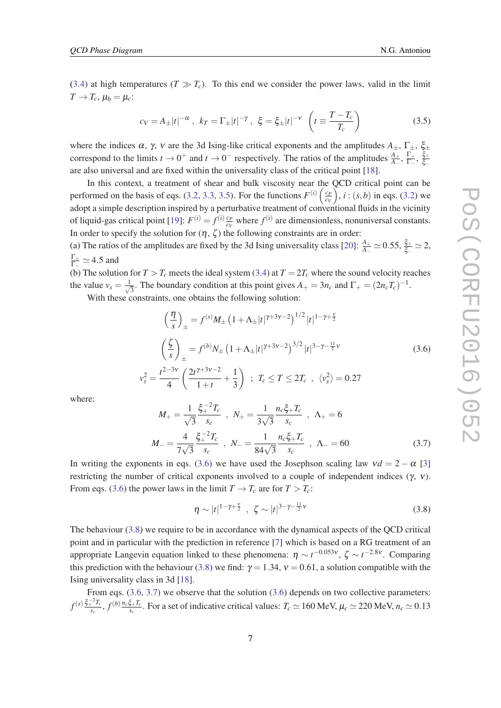<span id="page-7-0"></span>([3.4\)](#page-6-0) at high temperatures ( $T \gg T_c$ ). To this end we consider the power laws, valid in the limit  $T \rightarrow T_c$ ,  $\mu_b = \mu_c$ :

$$
c_V = A_{\pm} |t|^{-\alpha}
$$
,  $k_T = \Gamma_{\pm} |t|^{-\gamma}$ ,  $\xi = \xi_{\pm} |t|^{-\nu}$   $\left( t \equiv \frac{T - T_c}{T_c} \right)$  (3.5)

where the indices α, γ, ν are the 3d Ising-like critical exponents and the amplitudes  $A_{\pm}$ ,  $\Gamma_{\pm}$ ,  $\xi_{\pm}$ correspond to the limits  $t \to 0^+$  and  $t \to 0^-$  respectively. The ratios of the amplitudes  $\frac{A_+}{A_-}, \frac{\Gamma_+}{\Gamma_-}$  $\frac{\Gamma_{+}}{\Gamma_{-}},\ \frac{\xi_{+}}{\xi_{-}}$ ξ− are also universal and are fixed within the universality class of the critical point [[18\]](#page-10-0).

In this context, a treatment of shear and bulk viscosity near the QCD critical point can be performed on the basis of eqs. ([3.2](#page-6-0), [3.3,](#page-6-0) 3.5). For the functions  $F^{(i)}\left(\frac{c_p}{c_p}\right)$ *cV*  $(i, i)$  *i* : (*s*,*b*) in eqs. [\(3.2\)](#page-6-0) we adopt a simple description inspired by a perturbative treatment of conventional fluids in the vicinity of liquid-gas critical point [\[19](#page-10-0)]:  $F^{(i)} = f^{(i)} \frac{c_P}{c_P}$  $\frac{c_P}{c_V}$  where  $f^{(i)}$  are dimensionless, nonuniversal constants. In order to specify the solution for  $(\eta, \zeta)$  the following constraints are in order:

(a) The ratios of the amplitudes are fixed by the 3d Ising universality class [[20\]](#page-10-0):  $\frac{A_+}{A_-} \simeq 0.55$ ,  $\frac{\xi_+}{\xi_-} \simeq 2$ ,  $_{\underline{\Gamma_+}}$  $\frac{1_+}{\Gamma_-} \simeq 4.5$  and

(b) The solution for  $T > T_c$  meets the ideal system [\(3.4](#page-6-0)) at  $T = 2T_c$  where the sound velocity reaches the value  $v_s = \frac{1}{\sqrt{2}}$  $\frac{1}{3}$ . The boundary condition at this point gives  $A_+ = 3n_c$  and  $\Gamma_+ = (2n_cT_c)^{-1}$ .

With these constraints, one obtains the following solution:

$$
\left(\frac{\eta}{s}\right)_{\pm} = f^{(s)}M_{\pm} \left(1 + \Lambda_{\pm}|t|^{\gamma + 3\nu - 2}\right)^{1/2}|t|^{1 - \gamma + \frac{\nu}{2}}
$$
\n
$$
\left(\frac{\zeta}{s}\right)_{\pm} = f^{(b)}N_{\pm} \left(1 + \Lambda_{\pm}|t|^{\gamma + 3\nu - 2}\right)^{3/2}|t|^{3 - \gamma - \frac{11}{2}\nu}
$$
\n
$$
s^2_{\pm} = \frac{t^{2 - 3\nu}}{4} \left(\frac{2t^{\gamma + 3\nu - 2}}{1 + t} + \frac{1}{3}\right) \ ; \ T_c \le T \le 2T_c \ , \ \langle v_s^2 \rangle = 0.27
$$
\n(3.6)

where:

*v*

$$
M_{+} = \frac{1}{\sqrt{3}} \frac{\xi_{+}^{-2} T_{c}}{s_{c}} , N_{+} = \frac{1}{3\sqrt{3}} \frac{n_{c} \xi_{+} T_{c}}{s_{c}} , \Lambda_{+} = 6
$$
  

$$
M_{-} = \frac{4}{7\sqrt{3}} \frac{\xi_{+}^{-2} T_{c}}{s_{c}} , N_{-} = \frac{1}{84\sqrt{3}} \frac{n_{c} \xi_{+} T_{c}}{s_{c}} , \Lambda_{-} = 60
$$
 (3.7)

In writing the exponents in eqs. ([3](#page-9-0).6) we have used the Josephson scaling law  $vd = 2 - \alpha$  [3] restricting the number of critical exponents involved to a couple of independent indices  $(\gamma, v)$ . From eqs. (3.6) the power laws in the limit  $T \to T_c$  are for  $T > T_c$ :

$$
\eta \sim |t|^{1-\gamma+\frac{v}{2}}, \ \zeta \sim |t|^{3-\gamma-\frac{11}{2}v} \tag{3.8}
$$

The behaviour (3.8) we require to be in accordance with the dynamical aspects of the QCD critical point and in particular with the prediction in reference [\[7](#page-9-0)] which is based on a RG treatment of an appropriate Langevin equation linked to these phenomena:  $\eta \sim t^{-0.053\nu}$ ,  $\zeta \sim t^{-2.8\nu}$ . Comparing this prediction with the behaviour (3.8) we find:  $\gamma = 1.34$ ,  $v = 0.61$ , a solution compatible with the Ising universality class in 3d [\[18](#page-10-0)].

From eqs. (3.6, 3.7) we observe that the solution (3.6) depends on two collective parameters:  $f^{(s)} \frac{\xi_+^{-2}T_c}{s}$  $\frac{f^{-2}T_c}{s_c}$ ,  $f^{(b)}\frac{n_c\xi+T_c}{s_c}$  $\frac{5+I_c}{s_c}$ . For a set of indicative critical values:  $T_c \simeq 160$  MeV,  $\mu_c \simeq 220$  MeV,  $n_c \simeq 0.13$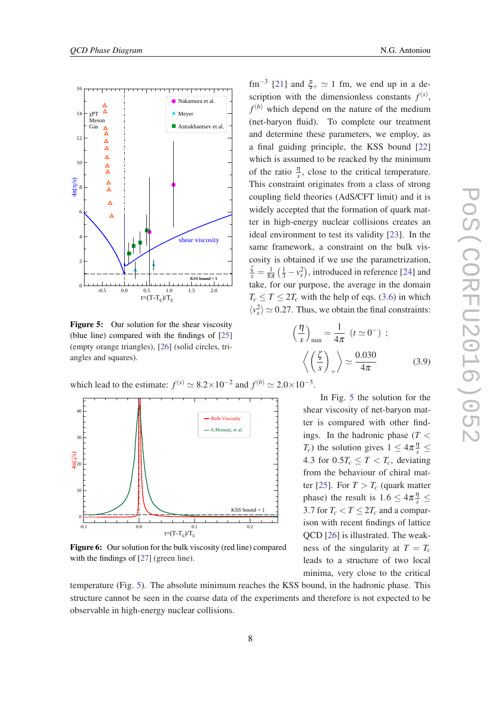<span id="page-8-0"></span>

Figure 5: Our solution for the shear viscosity (blue line) compared with the findings of [[25\]](#page-10-0) (empty orange triangles), [[26\]](#page-10-0) (solid circles, triangles and squares).

fm<sup>-3</sup> [\[21\]](#page-10-0) and  $\xi_+ \simeq 1$  fm, we end up in a description with the dimensionless constants  $f^{(s)}$ ,  $f<sup>(b)</sup>$  which depend on the nature of the medium (net-baryon fluid). To complete our treatment and determine these parameters, we employ, as a final guiding principle, the KSS bound [\[22](#page-10-0)] which is assumed to be reacked by the minimum of the ratio  $\frac{\eta}{s}$ , close to the critical temperature. This constraint originates from a class of strong coupling field theories (AdS/CFT limit) and it is widely accepted that the formation of quark matter in high-energy nuclear collisions creates an ideal environment to test its validity [\[23](#page-10-0)]. In the same framework, a constraint on the bulk viscosity is obtained if we use the parametrization,  $\frac{\zeta}{s} = \frac{1}{8i}$  $\frac{1}{8\pi}$   $(\frac{1}{3} - v_s^2)$ , introduced in reference [\[24\]](#page-10-0) and take, for our purpose, the average in the domain  $T_c \leq T \leq 2T_c$  with the help of eqs. ([3.6](#page-7-0)) in which  $\langle v_s^2 \rangle \simeq 0.27$ . Thus, we obtain the final constraints:

$$
\left(\frac{\eta}{s}\right)_{\min} = \frac{1}{4\pi} \left(t \simeq 0^{-}\right) ;
$$

$$
\left\langle \left(\frac{\zeta}{s}\right)_{+} \right\rangle \simeq \frac{0.030}{4\pi} \tag{3.9}
$$

which lead to the estimate:  $f^{(s)} \approx 8.2 \times 10^{-2}$  and  $f^{(b)} \approx 2.0 \times 10^{-3}$ .



Figure 6: Our solution for the bulk viscosity (red line) compared with the findings of [[27\]](#page-10-0) (green line).

temperature (Fig. 5). The absolute minimum reaches the KSS bound, in the hadronic phase. This structure cannot be seen in the coarse data of the experiments and therefore is not expected to be observable in high-energy nuclear collisions.

$$
\left(\frac{5}{s}\right)_{\min} = \frac{4\pi}{4\pi} \left(t \simeq 0^{-}\right) ;
$$
\n
$$
\left\langle \left(\frac{5}{s}\right)_{+} \right\rangle \simeq \frac{0.030}{4\pi} \tag{3.9}
$$

In Fig. 5 the solution for the

shear viscosity of net-baryon matter is compared with other findings. In the hadronic phase  $(T <$ *T<sub>c</sub>*) the solution gives  $1 \leq 4\pi \frac{\eta}{s} \leq$ 4.3 for  $0.5T_c \leq T < T_c$ , deviating from the behaviour of chiral mat-ter [[25\]](#page-10-0). For  $T > T_c$  (quark matter phase) the result is  $1.6 \leq 4\pi \frac{\eta}{s} \leq$ 3.7 for  $T_c < T \leq 2T_c$  and a comparison with recent findings of lattice QCD [[26](#page-10-0)] is illustrated. The weakness of the singularity at  $T = T_c$ leads to a structure of two local minima, very close to the critical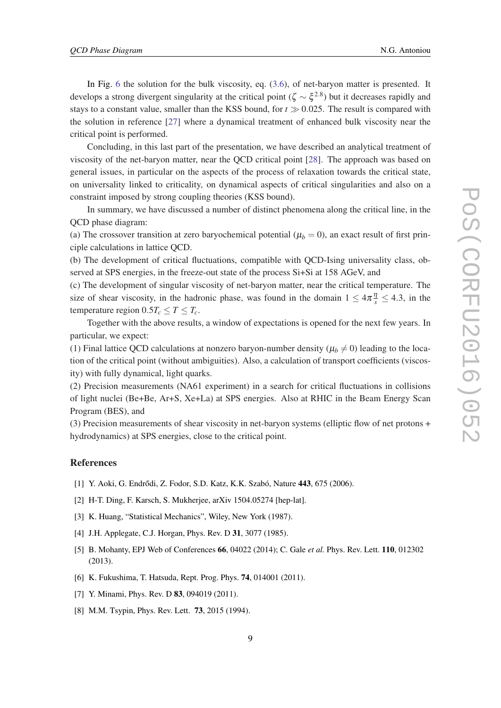<span id="page-9-0"></span>In Fig. [6](#page-8-0) the solution for the bulk viscosity, eq. [\(3.6\)](#page-7-0), of net-baryon matter is presented. It develops a strong divergent singularity at the critical point ( $\zeta \sim \xi^{2.8}$ ) but it decreases rapidly and stays to a constant value, smaller than the KSS bound, for  $t \gg 0.025$ . The result is compared with the solution in reference [\[27\]](#page-10-0) where a dynamical treatment of enhanced bulk viscosity near the critical point is performed.

Concluding, in this last part of the presentation, we have described an analytical treatment of viscosity of the net-baryon matter, near the QCD critical point [[28\]](#page-10-0). The approach was based on general issues, in particular on the aspects of the process of relaxation towards the critical state, on universality linked to criticality, on dynamical aspects of critical singularities and also on a constraint imposed by strong coupling theories (KSS bound).

In summary, we have discussed a number of distinct phenomena along the critical line, in the QCD phase diagram:

(a) The crossover transition at zero baryochemical potential  $(\mu_b = 0)$ , an exact result of first principle calculations in lattice QCD.

(b) The development of critical fluctuations, compatible with QCD-Ising universality class, observed at SPS energies, in the freeze-out state of the process Si+Si at 158 AGeV, and

(c) The development of singular viscosity of net-baryon matter, near the critical temperature. The size of shear viscosity, in the hadronic phase, was found in the domain  $1 \leq 4\pi \frac{\eta}{s} \leq 4.3$ , in the temperature region  $0.5T_c \leq T \leq T_c$ .

Together with the above results, a window of expectations is opened for the next few years. In particular, we expect:

(1) Final lattice QCD calculations at nonzero baryon-number density ( $\mu_b \neq 0$ ) leading to the location of the critical point (without ambiguities). Also, a calculation of transport coefficients (viscosity) with fully dynamical, light quarks.

(2) Precision measurements (NA61 experiment) in a search for critical fluctuations in collisions of light nuclei (Be+Be, Ar+S, Xe+La) at SPS energies. Also at RHIC in the Beam Energy Scan Program (BES), and

(3) Precision measurements of shear viscosity in net-baryon systems (elliptic flow of net protons + hydrodynamics) at SPS energies, close to the critical point.

### References

- [1] Y. Aoki, G. Endrődi, Z. Fodor, S.D. Katz, K.K. Szabó, Nature 443, 675 (2006).
- [2] H-T. Ding, F. Karsch, S. Mukherjee, arXiv 1504.05274 [hep-lat].
- [3] K. Huang, "Statistical Mechanics", Wiley, New York (1987).
- [4] J.H. Applegate, C.J. Horgan, Phys. Rev. D 31, 3077 (1985).
- [5] B. Mohanty, EPJ Web of Conferences 66, 04022 (2014); C. Gale *et al.* Phys. Rev. Lett. 110, 012302 (2013).
- [6] K. Fukushima, T. Hatsuda, Rept. Prog. Phys. 74, 014001 (2011).
- [7] Y. Minami, Phys. Rev. D **83**, 094019 (2011).
- [8] M.M. Tsypin, Phys. Rev. Lett. **73**, 2015 (1994).